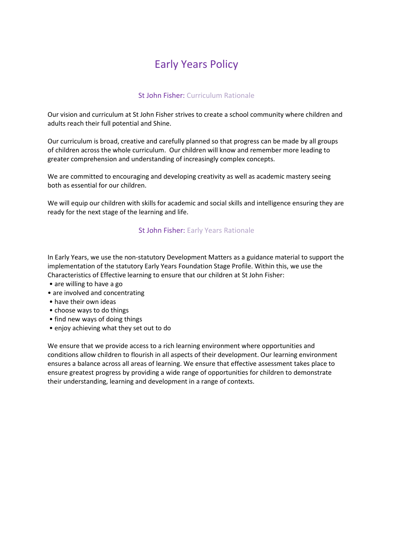# Early Years Policy

# St John Fisher: Curriculum Rationale

Our vision and curriculum at St John Fisher strives to create a school community where children and adults reach their full potential and Shine.

Our curriculum is broad, creative and carefully planned so that progress can be made by all groups of children across the whole curriculum. Our children will know and remember more leading to greater comprehension and understanding of increasingly complex concepts.

We are committed to encouraging and developing creativity as well as academic mastery seeing both as essential for our children.

We will equip our children with skills for academic and social skills and intelligence ensuring they are ready for the next stage of the learning and life.

## St John Fisher: Early Years Rationale

In Early Years, we use the non-statutory Development Matters as a guidance material to support the implementation of the statutory Early Years Foundation Stage Profile. Within this, we use the Characteristics of Effective learning to ensure that our children at St John Fisher:

- are willing to have a go
- are involved and concentrating
- have their own ideas
- choose ways to do things
- find new ways of doing things
- enjoy achieving what they set out to do

We ensure that we provide access to a rich learning environment where opportunities and conditions allow children to flourish in all aspects of their development. Our learning environment ensures a balance across all areas of learning. We ensure that effective assessment takes place to ensure greatest progress by providing a wide range of opportunities for children to demonstrate their understanding, learning and development in a range of contexts.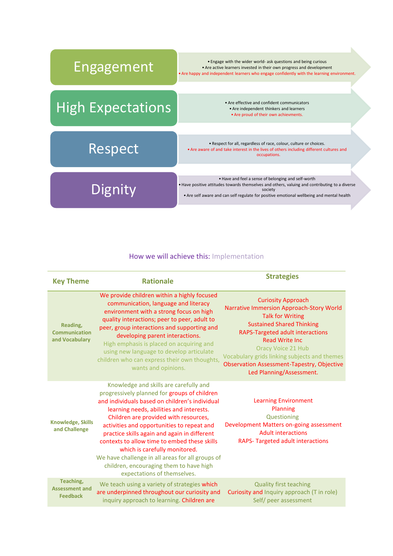

#### How we will achieve this: Implementation

| <b>Key Theme</b>                                      | <b>Rationale</b>                                                                                                                                                                                                                                                                                                                                                                                                                                                                                                                           | <b>Strategies</b>                                                                                                                                                                                                                                                                                                                                                |
|-------------------------------------------------------|--------------------------------------------------------------------------------------------------------------------------------------------------------------------------------------------------------------------------------------------------------------------------------------------------------------------------------------------------------------------------------------------------------------------------------------------------------------------------------------------------------------------------------------------|------------------------------------------------------------------------------------------------------------------------------------------------------------------------------------------------------------------------------------------------------------------------------------------------------------------------------------------------------------------|
| Reading,<br><b>Communication</b><br>and Vocabulary    | We provide children within a highly focused<br>communication, language and literacy<br>environment with a strong focus on high<br>quality interactions; peer to peer, adult to<br>peer, group interactions and supporting and<br>developing parent interactions.<br>High emphasis is placed on acquiring and<br>using new language to develop articulate<br>children who can express their own thoughts,<br>wants and opinions.                                                                                                            | <b>Curiosity Approach</b><br>Narrative Immersion Approach-Story World<br><b>Talk for Writing</b><br><b>Sustained Shared Thinking</b><br>RAPS-Targeted adult interactions<br><b>Read Write Inc.</b><br><b>Oracy Voice 21 Hub</b><br>Vocabulary grids linking subjects and themes<br><b>Observation Assessment-Tapestry, Objective</b><br>Led Planning/Assessment. |
| <b>Knowledge, Skills</b><br>and Challenge             | Knowledge and skills are carefully and<br>progressively planned for groups of children<br>and individuals based on children's individual<br>learning needs, abilities and interests.<br>Children are provided with resources,<br>activities and opportunities to repeat and<br>practice skills again and again in different<br>contexts to allow time to embed these skills<br>which is carefully monitored.<br>We have challenge in all areas for all groups of<br>children, encouraging them to have high<br>expectations of themselves. | <b>Learning Environment</b><br>Planning<br>Questioning<br>Development Matters on-going assessment<br><b>Adult interactions</b><br><b>RAPS-Targeted adult interactions</b>                                                                                                                                                                                        |
| Teaching,<br><b>Assessment and</b><br><b>Feedback</b> | We teach using a variety of strategies which<br>are underpinned throughout our curiosity and<br>inquiry approach to learning. Children are                                                                                                                                                                                                                                                                                                                                                                                                 | <b>Quality first teaching</b><br>Curiosity and Inquiry approach (T in role)<br>Self/ peer assessment                                                                                                                                                                                                                                                             |